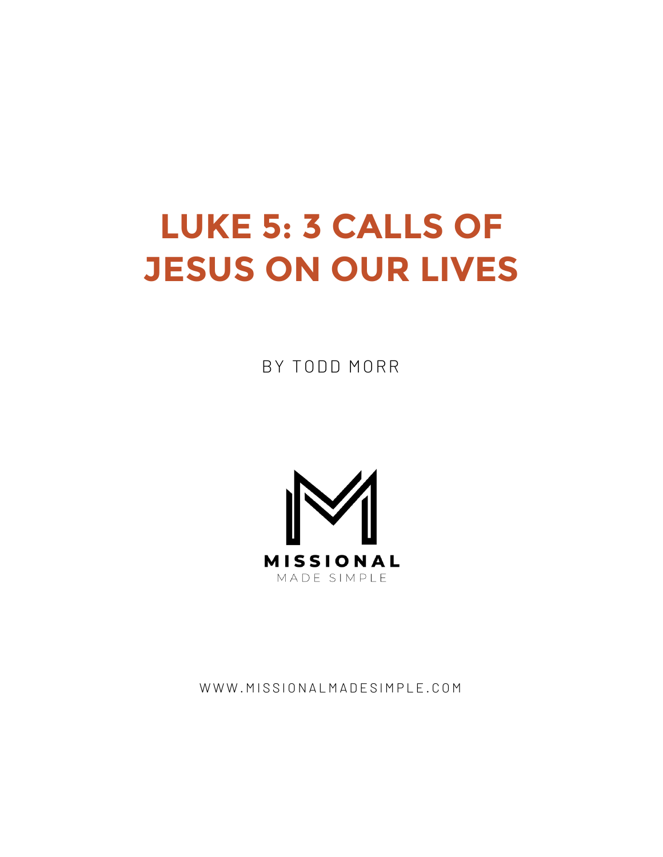# **LUKE 5: 3 CALLS OF JESUS ON OUR LIVES**

BY TODD MORR



WWW.MISSIONALMADESIMPLE.COM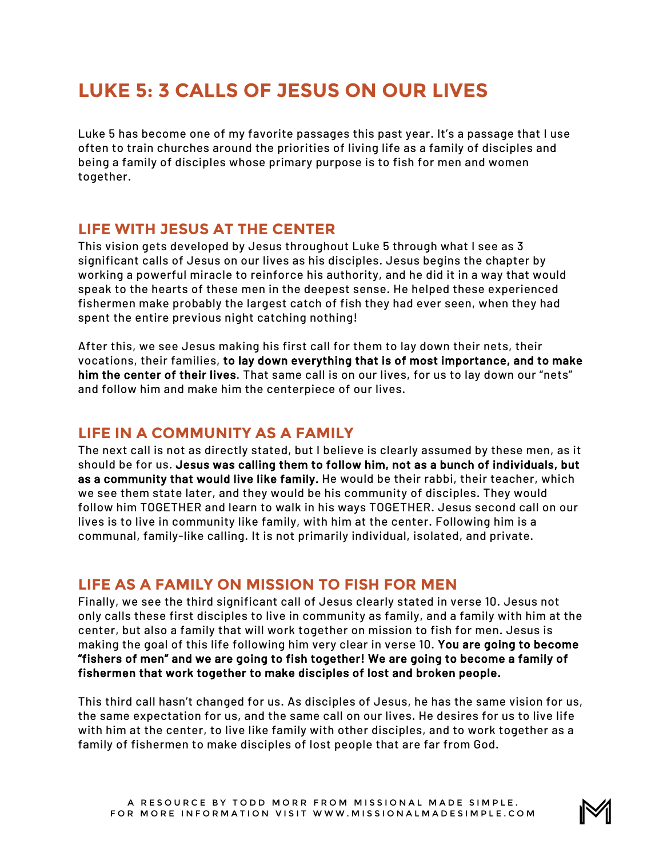# **LUKE 5: 3 CALLS OF JESUS ON OUR LIVES**

Luke 5 has become one of my favorite passages this past year. It's a passage that I use often to train churches around the priorities of living life as a family of disciples and being a family of disciples whose primary purpose is to fish for men and women together.

#### **LIFE WITH JESUS AT THE CENTER**

This vision gets developed by Jesus throughout Luke 5 through what I see as 3 significant calls of Jesus on our lives as his disciples. Jesus begins the chapter by working a powerful miracle to reinforce his authority, and he did it in a way that would speak to the hearts of these men in the deepest sense. He helped these experienced fishermen make probably the largest catch of fish they had ever seen, when they had spent the entire previous night catching nothing!

After this, we see Jesus making his first call for them to lay down their nets, their vocations, their families, to lay down everything that is of most importance, and to make him the center of their lives. That same call is on our lives, for us to lay down our "nets" and follow him and make him the centerpiece of our lives.

### **LIFE IN A COMMUNITY AS A FAMILY**

The next call is not as directly stated, but I believe is clearly assumed by these men, as it should be for us. Jesus was calling them to follow him, not as a bunch of individuals, but as a community that would live like family. He would be their rabbi, their teacher, which we see them state later, and they would be his community of disciples. They would follow him TOGETHER and learn to walk in his ways TOGETHER. Jesus second call on our lives is to live in community like family, with him at the center. Following him is a communal, family-like calling. It is not primarily individual, isolated, and private.

## **LIFE AS A FAMILY ON MISSION TO FISH FOR MEN**

Finally, we see the third significant call of Jesus clearly stated in verse 10. Jesus not only calls these first disciples to live in community as family, and a family with him at the center, but also a family that will work together on mission to fish for men. Jesus is making the goal of this life following him very clear in verse 10. You are going to become "fishers of men" and we are going to fish together! We are going to become a family of fishermen that work together to make disciples of lost and broken people.

This third call hasn't changed for us. As disciples of Jesus, he has the same vision for us, the same expectation for us, and the same call on our lives. He desires for us to live life with him at the center, to live like family with other disciples, and to work together as a family of fishermen to make disciples of lost people that are far from God.